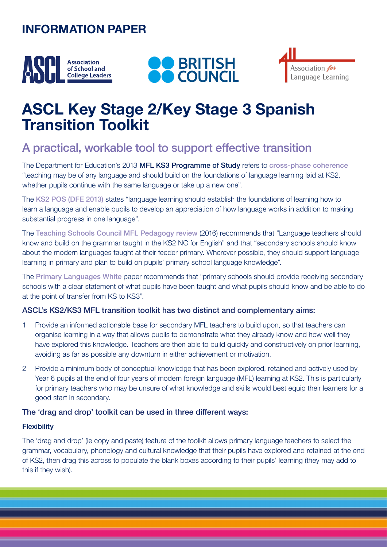## **INFORMATION PAPER**







# **ASCL Key Stage 2/Key Stage 3 Spanish Transition Toolkit**

## A practical, workable tool to support effective transition

The Department for Education's 2013 MFL KS3 Programme of Study refers to [cross-phase coherence](https://assets.publishing.service.gov.uk/government/uploads/system/uploads/attachment_data/file/239083/SECONDARY_national_curriculum_-_Languages.pdf) "teaching may be of any language and should build on the foundations of language learning laid at KS2, whether pupils continue with the same language or take up a new one".

The [KS2 POS \(DFE 2013\)](https://www.gov.uk/government/publications/national-curriculum-in-england-languages-progammes-of-study) states "language learning should establish the foundations of learning how to learn a language and enable pupils to develop an appreciation of how language works in addition to making substantial progress in one language".

The [Teaching Schools Council MFL Pedagogy review](https://tscouncil.org.uk/wp-content/uploads/2016/12/MFL-Pedagogy-Review-Report-2.pdf) (2016) recommends that "Language teachers should know and build on the grammar taught in the KS2 NC for English" and that "secondary schools should know about the modern languages taught at their feeder primary. Wherever possible, they should support language learning in primary and plan to build on pupils' primary school language knowledge".

The [Primary Languages White](https://www.ripl.uk/wp-content/uploads/2019/02/RIPL-White-Paper-Primary-Languages-Policy-in-England.pdf) paper recommends that "primary schools should provide receiving secondary schools with a clear statement of what pupils have been taught and what pupils should know and be able to do at the point of transfer from KS to KS3".

## ASCL's KS2/KS3 MFL transition toolkit has two distinct and complementary aims:

- 1 Provide an informed actionable base for secondary MFL teachers to build upon, so that teachers can organise learning in a way that allows pupils to demonstrate what they already know and how well they have explored this knowledge. Teachers are then able to build quickly and constructively on prior learning, avoiding as far as possible any downturn in either achievement or motivation.
- 2 Provide a minimum body of conceptual knowledge that has been explored, retained and actively used by Year 6 pupils at the end of four years of modern foreign language (MFL) learning at KS2. This is particularly for primary teachers who may be unsure of what knowledge and skills would best equip their learners for a good start in secondary.

## The 'drag and drop' toolkit can be used in three different ways:

## **Flexibility**

The 'drag and drop' (ie copy and paste) feature of the toolkit allows primary language teachers to select the grammar, vocabulary, phonology and cultural knowledge that their pupils have explored and retained at the end of KS2, then drag this across to populate the blank boxes according to their pupils' learning (they may add to this if they wish).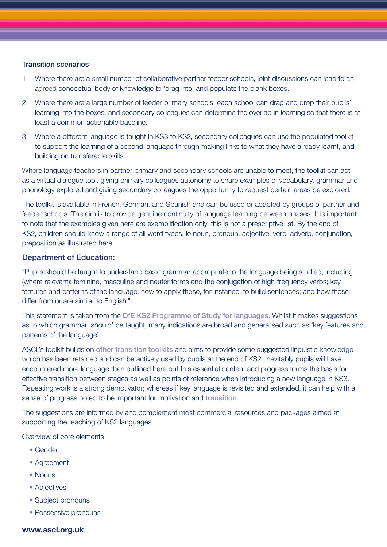#### Transition scenarios

- 1 Where there are a small number of collaborative partner feeder schools, joint discussions can lead to an agreed conceptual body of knowledge to 'drag into' and populate the blank boxes.
- 2 Where there are a large number of feeder primary schools, each school can drag and drop their pupils' learning into the boxes, and secondary colleagues can determine the overlap in learning so that there is at least a common actionable baseline.
- 3 Where a different language is taught in KS3 to KS2, secondary colleagues can use the populated toolkit to support the learning of a second language through making links to what they have already learnt, and building on transferable skills.

Where language teachers in partner primary and secondary schools are unable to meet, the toolkit can act as a virtual dialogue tool, giving primary colleagues autonomy to share examples of vocabulary, grammar and phonology explored and giving secondary colleagues the opportunity to request certain areas be explored.

The toolkit is available in French, German, and Spanish and can be used or adapted by groups of partner and feeder schools. The aim is to provide genuine continuity of language learning between phases. It is important to note that the examples given here are exemplification only, this is not a prescriptive list. By the end of KS2, children should know a range of all word types, ie noun, pronoun, adjective, verb, adverb, conjunction, preposition as illustrated here.

#### Department of Education:

"Pupils should be taught to understand basic grammar appropriate to the language being studied, including (where relevant): feminine, masculine and neuter forms and the conjugation of high-frequency verbs; key features and patterns of the language; how to apply these, for instance, to build sentences; and how these differ from or are similar to English."

This statement is taken from the [DfE KS2 Programme of Study for languages](https://www.gov.uk/government/publications/national-curriculum-in-england-languages-progammes-of-study). Whilst it makes suggestions as to which grammar 'should' be taught, many indications are broad and generalised such as 'key features and patterns of the language'.

ASCL's toolkit builds on [other transition toolkits](https://www.all-languages.org.uk/wp-content/uploads/2016/04/Transition-Toolkit.pdf) and aims to provide some suggested linguistic knowledge which has been retained and can be actively used by pupils at the end of KS2. Inevitably pupils will have encountered more language than outlined here but this essential content and progress forms the basis for effective transition between stages as well as points of reference when introducing a new language in KS3. Repeating work is a strong demotivator; whereas if key language is revisited and extended, it can help with a sense of progress noted to be important for motivation and [transition](https://www.ripl.uk/wp-content/uploads/2020/04/OASIS_Summary_Graham_et_al._2016-5.pdf).

The suggestions are informed by and complement most commercial resources and packages aimed at supporting the teaching of KS2 languages.

Overview of core elements

- Gender
- Agreement
- Nouns
- Adjectives
- Subject pronouns
- Possessive pronouns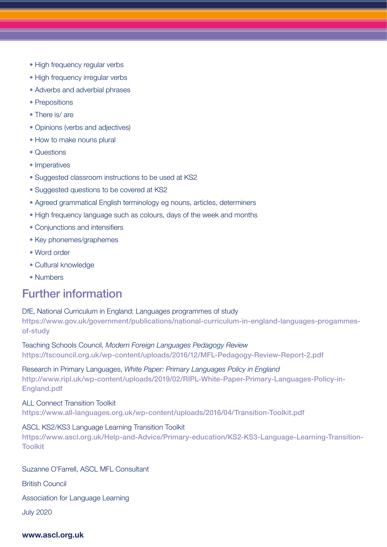- High frequency regular verbs
- High frequency irregular verbs
- Adverbs and adverbial phrases
- Prepositions
- There is/are
- Opinions (verbs and adjectives)
- How to make nouns plural
- Questions
- Imperatives
- Suggested classroom instructions to be used at KS2
- Suggested questions to be covered at KS2
- Agreed grammatical English terminology eg nouns, articles, determiners
- High frequency language such as colours, days of the week and months
- Conjunctions and intensifiers
- Key phonemes/graphemes
- Word order
- Cultural knowledge
- Numbers

## Further information

DfE, National Curriculum in England: Languages programmes of study https://www.gov.uk/government/publications/national-curriculum-in-england-languages-progammesof-study

Teaching Schools Council, *Modern Foreign Languages Pedagogy Review* https://tscouncil.org.uk/wp-content/uploads/2016/12/MFL-Pedagogy-Review-Report-2.pdf

## Research in Primary Languages, *White Paper: Primary Languages Policy in England*

http://www.ripl.uk/wp-content/uploads/2019/02/RIPL-White-Paper-Primary-Languages-Policy-in-England.pdf

## ALL Connect Transition Toolkit

https://www.all-languages.org.uk/wp-content/uploads/2016/04/Transition-Toolkit.pdf

### ASCL KS2/KS3 Language Learning Transition Toolkit

[https://www.ascl.org.uk/Help-and-Advice/Primary-education/KS2-KS3-Language-Learning-Transition-](https://www.ascl.org.uk/Help-and-Advice/Primary-education/KS2-KS3-Language-Learning-Transition-Toolkit
)[Toolkit](https://www.ascl.org.uk/Help-and-Advice/Primary-education/KS2-KS3-Language-Learning-Transition-Toolkit
)

Suzanne O'Farrell, ASCL MFL Consultant

British Council

Association for Language Learning

July 2020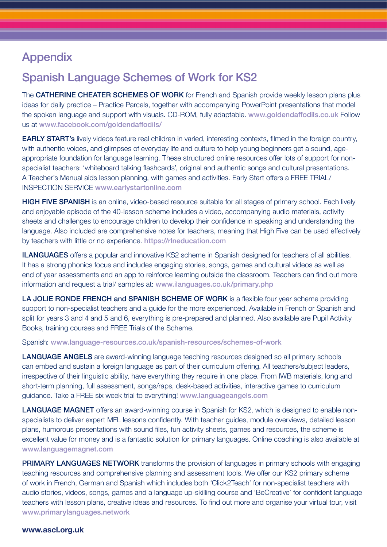## Appendix

## Spanish Language Schemes of Work for KS2

The CATHERINE CHEATER SCHEMES OF WORK for French and Spanish provide weekly lesson plans plus ideas for daily practice – Practice Parcels, together with accompanying PowerPoint presentations that model the spoken language and support with visuals. CD-ROM, fully adaptable. www.goldendaffodils.co.uk Follow us at www.facebook.com/goldendaffodils/

EARLY START's lively videos feature real children in varied, interesting contexts, filmed in the foreign country, with authentic voices, and glimpses of everyday life and culture to help young beginners get a sound, ageappropriate foundation for language learning. These structured online resources offer lots of support for nonspecialist teachers: 'whiteboard talking flashcards', original and authentic songs and cultural presentations. A Teacher's Manual aids lesson planning, with games and activities. Early Start offers a FREE TRIAL/ INSPECTION SERVICE www.earlystartonline.com

**HIGH FIVE SPANISH** is an online, video-based resource suitable for all stages of primary school. Each lively and enjoyable episode of the 40-lesson scheme includes a video, accompanying audio materials, activity sheets and challenges to encourage children to develop their confidence in speaking and understanding the language. Also included are comprehensive notes for teachers, meaning that High Five can be used effectively by teachers with little or no experience. https://rlneducation.com

**ILANGUAGES** offers a popular and innovative KS2 scheme in Spanish designed for teachers of all abilities. It has a strong phonics focus and includes engaging stories, songs, games and cultural videos as well as end of year assessments and an app to reinforce learning outside the classroom. Teachers can find out more information and request a trial/ samples at: www.ilanguages.co.uk/primary.php

LA JOLIE RONDE FRENCH and SPANISH SCHEME OF WORK is a flexible four year scheme providing support to non-specialist teachers and a guide for the more experienced. Available in French or Spanish and split for years 3 and 4 and 5 and 6, everything is pre-prepared and planned. Also available are Pupil Activity Books, training courses and FREE Trials of the Scheme.

#### Spanish: www.language-resources.co.uk/spanish-resources/schemes-of-work

LANGUAGE ANGELS are award-winning language teaching resources designed so all primary schools can embed and sustain a foreign language as part of their curriculum offering. All teachers/subject leaders, irrespective of their linguistic ability, have everything they require in one place. From IWB materials, long and short-term planning, full assessment, songs/raps, desk-based activities, interactive games to curriculum guidance. Take a FREE six week trial to everything! www.languageangels.com

**LANGUAGE MAGNET** offers an award-winning course in Spanish for KS2, which is designed to enable nonspecialists to deliver expert MFL lessons confidently. With teacher guides, module overviews, detailed lesson plans, humorous presentations with sound files, fun activity sheets, games and resources, the scheme is excellent value for money and is a fantastic solution for primary languages. Online coaching is also available at www.languagemagnet.com

**PRIMARY LANGUAGES NETWORK** transforms the provision of languages in primary schools with engaging teaching resources and comprehensive planning and assessment tools. We offer our KS2 primary scheme of work in French, German and Spanish which includes both 'Click2Teach' for non-specialist teachers with audio stories, videos, songs, games and a language up-skilling course and 'BeCreative' for confident language teachers with lesson plans, creative ideas and resources. To find out more and organise your virtual tour, visit www.primarylanguages.network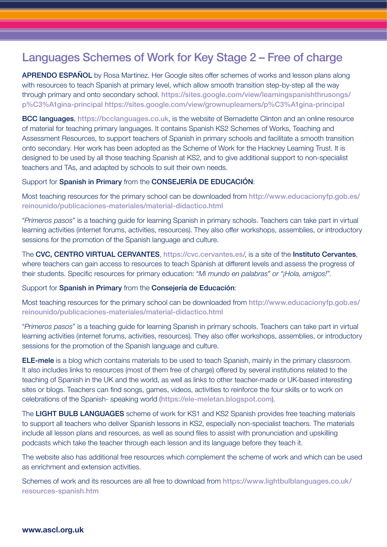## Languages Schemes of Work for Key Stage 2 – Free of charge

APRENDO ESPAÑOL by Rosa Martinez. Her Google sites offer schemes of works and lesson plans along with resources to teach Spanish at primary level, which allow smooth transition step-by-step all the way through primary and onto secondary school. https://sites.google.com/view/learningspanishthrusongs/ p%C3%A1gina-principal https://sites.google.com/view/grownuplearners/p%C3%A1gina-principal

BCC languages, https://bcclanguages.co.uk, is the website of Bernadette Clinton and an online resource of material for teaching primary languages. It contains Spanish KS2 Schemes of Works, Teaching and Assessment Resources, to support teachers of Spanish in primary schools and facilitate a smooth transition onto secondary. Her work has been adopted as the Scheme of Work for the Hackney Learning Trust. It is designed to be used by all those teaching Spanish at KS2, and to give additional support to non-specialist teachers and TAs, and adapted by schools to suit their own needs.

#### Support for Spanish in Primary from the CONSEJERÍA DE EDUCACIÓN:

Most teaching resources for the primary school can be downloaded from http://www.educacionyfp.gob.es/ reinounido/publicaciones-materiales/material-didactico.html

"*Primeros pasos*" is a teaching guide for learning Spanish in primary schools. Teachers can take part in virtual learning activities (internet forums, activities, resources). They also offer workshops, assemblies, or introductory sessions for the promotion of the Spanish language and culture.

The CVC, CENTRO VIRTUAL CERVANTES, https://cvc.cervantes.es/, is a site of the Instituto Cervantes, where teachers can gain access to resources to teach Spanish at different levels and assess the progress of their students. Specific resources for primary education: "*Mi mundo en palabras" or "¡Hola, amigos!*".

#### Support for Spanish in Primary from the Consejería de Educación:

Most teaching resources for the primary school can be downloaded from http://www.educacionyfp.gob.es/ reinounido/publicaciones-materiales/material-didactico.html

"*Primeros pasos*" is a teaching guide for learning Spanish in primary schools. Teachers can take part in virtual learning activities (internet forums, activities, resources). They also offer workshops, assemblies, or introductory sessions for the promotion of the Spanish language and culture.

ELE-mele is a blog which contains materials to be used to teach Spanish, mainly in the primary classroom. It also includes links to resources (most of them free of charge) offered by several institutions related to the teaching of Spanish in the UK and the world, as well as links to other teacher-made or UK-based interesting sites or blogs. Teachers can find songs, games, videos, activities to reinforce the four skills or to work on celebrations of the Spanish- speaking world (https://ele-meletan.blogspot.com).

The LIGHT BULB LANGUAGES scheme of work for KS1 and KS2 Spanish provides free teaching materials to support all teachers who deliver Spanish lessons in KS2, especially non-specialist teachers. The materials include all lesson plans and resources, as well as sound files to assist with pronunciation and upskilling podcasts which take the teacher through each lesson and its language before they teach it.

The website also has additional free resources which complement the scheme of work and which can be used as enrichment and extension activities.

Schemes of work and its resources are all free to download from https://www.lightbulblanguages.co.uk/ resources-spanish.htm